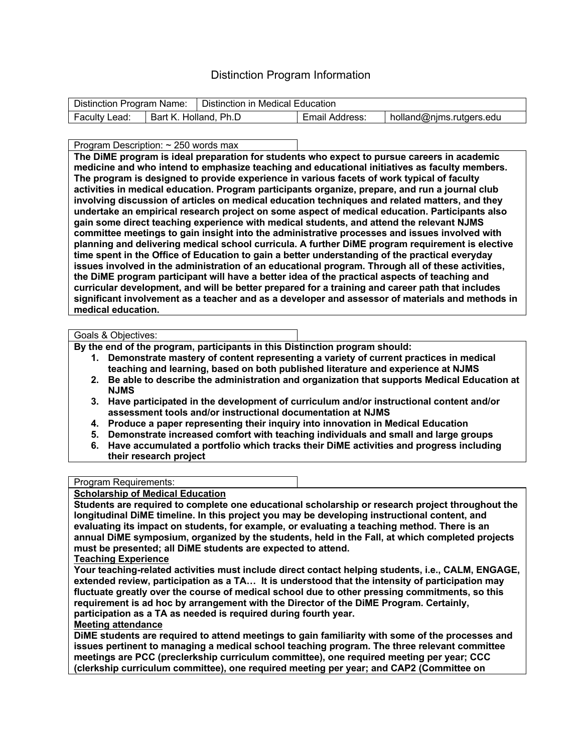# Distinction Program Information

|               |                       | Distinction Program Name:   Distinction in Medical Education |                |                          |
|---------------|-----------------------|--------------------------------------------------------------|----------------|--------------------------|
| Faculty Lead: | Bart K. Holland, Ph.D |                                                              | Email Address: | holland@njms.rutgers.edu |

Program Description: ~ 250 words max

**The DiME program is ideal preparation for students who expect to pursue careers in academic medicine and who intend to emphasize teaching and educational initiatives as faculty members. The program is designed to provide experience in various facets of work typical of faculty activities in medical education. Program participants organize, prepare, and run a journal club involving discussion of articles on medical education techniques and related matters, and they undertake an empirical research project on some aspect of medical education. Participants also gain some direct teaching experience with medical students, and attend the relevant NJMS committee meetings to gain insight into the administrative processes and issues involved with planning and delivering medical school curricula. A further DiME program requirement is elective time spent in the Office of Education to gain a better understanding of the practical everyday issues involved in the administration of an educational program. Through all of these activities, the DiME program participant will have a better idea of the practical aspects of teaching and curricular development, and will be better prepared for a training and career path that includes significant involvement as a teacher and as a developer and assessor of materials and methods in medical education.**

#### Goals & Objectives:

**By the end of the program, participants in this Distinction program should:**

- **1. Demonstrate mastery of content representing a variety of current practices in medical teaching and learning, based on both published literature and experience at NJMS**
- **2. Be able to describe the administration and organization that supports Medical Education at NJMS**
- **3. Have participated in the development of curriculum and/or instructional content and/or assessment tools and/or instructional documentation at NJMS**
- **4. Produce a paper representing their inquiry into innovation in Medical Education**
- **5. Demonstrate increased comfort with teaching individuals and small and large groups**
- **6. Have accumulated a portfolio which tracks their DiME activities and progress including their research project**

# Program Requirements:

# **Scholarship of Medical Education**

**Students are required to complete one educational scholarship or research project throughout the longitudinal DiME timeline. In this project you may be developing instructional content, and evaluating its impact on students, for example, or evaluating a teaching method. There is an annual DiME symposium, organized by the students, held in the Fall, at which completed projects must be presented; all DiME students are expected to attend.**

# **Teaching Experience**

**Your teaching-related activities must include direct contact helping students, i.e., CALM, ENGAGE, extended review, participation as a TA… It is understood that the intensity of participation may fluctuate greatly over the course of medical school due to other pressing commitments, so this requirement is ad hoc by arrangement with the Director of the DiME Program. Certainly, participation as a TA as needed is required during fourth year.**

# **Meeting attendance**

**DiME students are required to attend meetings to gain familiarity with some of the processes and issues pertinent to managing a medical school teaching program. The three relevant committee meetings are PCC (preclerkship curriculum committee), one required meeting per year; CCC (clerkship curriculum committee), one required meeting per year; and CAP2 (Committee on**